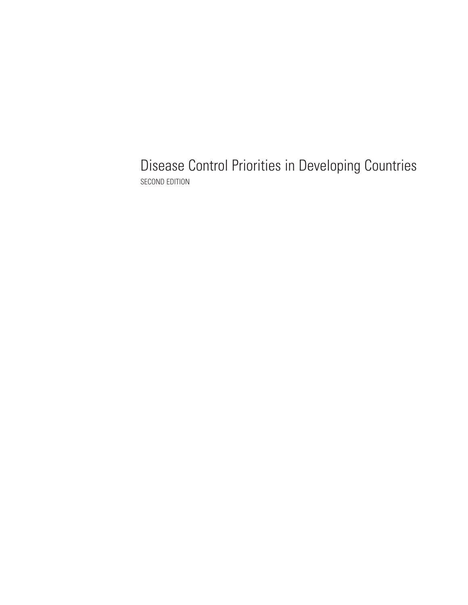Disease Control Priorities in Developing Countries SECOND EDITION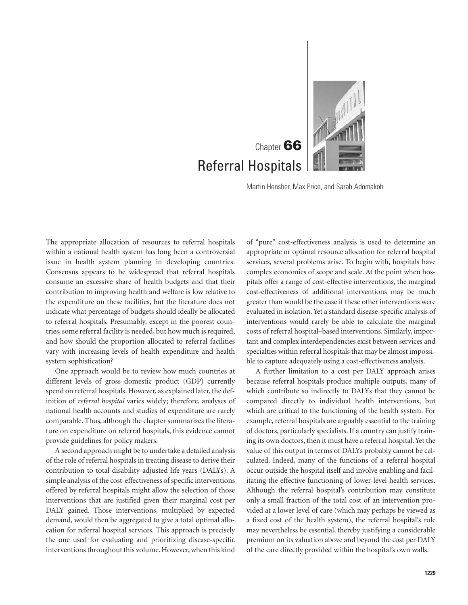# Chapter 66 Referral Hospitals



Martin Hensher, Max Price, and Sarah Adomakoh

The appropriate allocation of resources to referral hospitals within a national health system has long been a controversial issue in health system planning in developing countries. Consensus appears to be widespread that referral hospitals consume an excessive share of health budgets and that their contribution to improving health and welfare is low relative to the expenditure on these facilities, but the literature does not indicate what percentage of budgets should ideally be allocated to referral hospitals. Presumably, except in the poorest countries, some referral facility is needed, but how much is required, and how should the proportion allocated to referral facilities vary with increasing levels of health expenditure and health system sophistication?

One approach would be to review how much countries at different levels of gross domestic product (GDP) currently spend on referral hospitals. However, as explained later, the definition of *referral hospital* varies widely; therefore, analyses of national health accounts and studies of expenditure are rarely comparable. Thus, although the chapter summarizes the literature on expenditure on referral hospitals, this evidence cannot provide guidelines for policy makers.

A second approach might be to undertake a detailed analysis of the role of referral hospitals in treating disease to derive their contribution to total disability-adjusted life years (DALYs). A simple analysis of the cost-effectiveness of specific interventions offered by referral hospitals might allow the selection of those interventions that are justified given their marginal cost per DALY gained. Those interventions, multiplied by expected demand, would then be aggregated to give a total optimal allocation for referral hospital services. This approach is precisely the one used for evaluating and prioritizing disease-specific interventions throughout this volume. However, when this kind

of "pure" cost-effectiveness analysis is used to determine an appropriate or optimal resource allocation for referral hospital services, several problems arise. To begin with, hospitals have complex economies of scope and scale. At the point when hospitals offer a range of cost-effective interventions, the marginal cost-effectiveness of additional interventions may be much greater than would be the case if these other interventions were evaluated in isolation. Yet a standard disease-specific analysis of interventions would rarely be able to calculate the marginal costs of referral hospital–based interventions. Similarly, important and complex interdependencies exist between services and specialties within referral hospitals that may be almost impossible to capture adequately using a cost-effectiveness analysis.

A further limitation to a cost per DALY approach arises because referral hospitals produce multiple outputs, many of which contribute so indirectly to DALYs that they cannot be compared directly to individual health interventions, but which are critical to the functioning of the health system. For example, referral hospitals are arguably essential to the training of doctors, particularly specialists. If a country can justify training its own doctors, then it must have a referral hospital. Yet the value of this output in terms of DALYs probably cannot be calculated. Indeed, many of the functions of a referral hospital occur outside the hospital itself and involve enabling and facilitating the effective functioning of lower-level health services. Although the referral hospital's contribution may constitute only a small fraction of the total cost of an intervention provided at a lower level of care (which may perhaps be viewed as a fixed cost of the health system), the referral hospital's role may nevertheless be essential, thereby justifying a considerable premium on its valuation above and beyond the cost per DALY of the care directly provided within the hospital's own walls.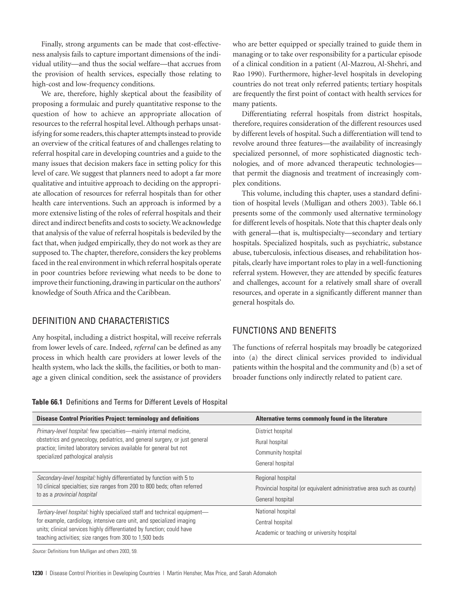Finally, strong arguments can be made that cost-effectiveness analysis fails to capture important dimensions of the individual utility—and thus the social welfare—that accrues from the provision of health services, especially those relating to high-cost and low-frequency conditions.

We are, therefore, highly skeptical about the feasibility of proposing a formulaic and purely quantitative response to the question of how to achieve an appropriate allocation of resources to the referral hospital level. Although perhaps unsatisfying for some readers, this chapter attempts instead to provide an overview of the critical features of and challenges relating to referral hospital care in developing countries and a guide to the many issues that decision makers face in setting policy for this level of care. We suggest that planners need to adopt a far more qualitative and intuitive approach to deciding on the appropriate allocation of resources for referral hospitals than for other health care interventions. Such an approach is informed by a more extensive listing of the roles of referral hospitals and their direct and indirect benefits and costs to society.We acknowledge that analysis of the value of referral hospitals is bedeviled by the fact that, when judged empirically, they do not work as they are supposed to. The chapter, therefore, considers the key problems faced in the real environment in which referral hospitals operate in poor countries before reviewing what needs to be done to improve their functioning, drawing in particular on the authors' knowledge of South Africa and the Caribbean.

# DEFINITION AND CHARACTERISTICS

Any hospital, including a district hospital, will receive referrals from lower levels of care. Indeed, *referral* can be defined as any process in which health care providers at lower levels of the health system, who lack the skills, the facilities, or both to manage a given clinical condition, seek the assistance of providers

who are better equipped or specially trained to guide them in managing or to take over responsibility for a particular episode of a clinical condition in a patient (Al-Mazrou, Al-Shehri, and Rao 1990). Furthermore, higher-level hospitals in developing countries do not treat only referred patients; tertiary hospitals are frequently the first point of contact with health services for many patients.

Differentiating referral hospitals from district hospitals, therefore, requires consideration of the different resources used by different levels of hospital. Such a differentiation will tend to revolve around three features—the availability of increasingly specialized personnel, of more sophisticated diagnostic technologies, and of more advanced therapeutic technologies that permit the diagnosis and treatment of increasingly complex conditions.

This volume, including this chapter, uses a standard definition of hospital levels (Mulligan and others 2003). Table 66.1 presents some of the commonly used alternative terminology for different levels of hospitals. Note that this chapter deals only with general—that is, multispecialty—secondary and tertiary hospitals. Specialized hospitals, such as psychiatric, substance abuse, tuberculosis, infectious diseases, and rehabilitation hospitals, clearly have important roles to play in a well-functioning referral system. However, they are attended by specific features and challenges, account for a relatively small share of overall resources, and operate in a significantly different manner than general hospitals do.

## FUNCTIONS AND BENEFITS

The functions of referral hospitals may broadly be categorized into (a) the direct clinical services provided to individual patients within the hospital and the community and (b) a set of broader functions only indirectly related to patient care.

**Table 66.1** Definitions and Terms for Different Levels of Hospital

| <b>Disease Control Priorities Project: terminology and definitions</b>                                                                                                                   | Alternative terms commonly found in the literature                     |  |
|------------------------------------------------------------------------------------------------------------------------------------------------------------------------------------------|------------------------------------------------------------------------|--|
| <i>Primary-level hospital:</i> few specialties—mainly internal medicine,                                                                                                                 | District hospital                                                      |  |
| obstetrics and gynecology, pediatrics, and general surgery, or just general<br>practice; limited laboratory services available for general but not<br>specialized pathological analysis  | Rural hospital                                                         |  |
|                                                                                                                                                                                          | Community hospital                                                     |  |
|                                                                                                                                                                                          | General hospital                                                       |  |
| Secondary-level hospital: highly differentiated by function with 5 to<br>10 clinical specialties; size ranges from 200 to 800 beds; often referred<br>to as a <i>provincial hospital</i> | Regional hospital                                                      |  |
|                                                                                                                                                                                          | Provincial hospital (or equivalent administrative area such as county) |  |
|                                                                                                                                                                                          | General hospital                                                       |  |
| <i>Tertiary-level hospital:</i> highly specialized staff and technical equipment—                                                                                                        | National hospital                                                      |  |
| for example, cardiology, intensive care unit, and specialized imaging                                                                                                                    | Central hospital                                                       |  |
| units; clinical services highly differentiated by function; could have<br>teaching activities; size ranges from 300 to 1,500 beds                                                        | Academic or teaching or university hospital                            |  |

*Source:* Definitions from Mulligan and others 2003, 59.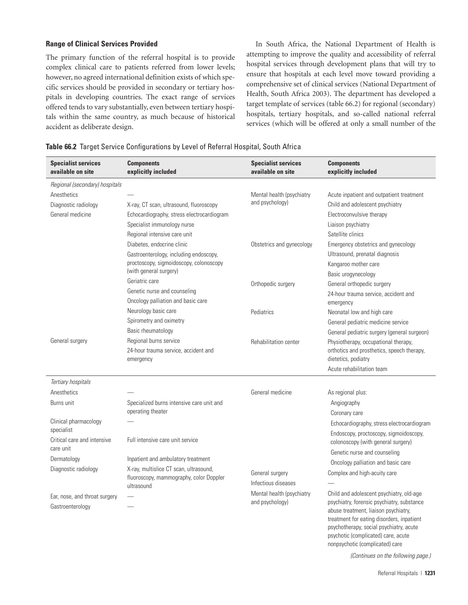## **Range of Clinical Services Provided**

The primary function of the referral hospital is to provide complex clinical care to patients referred from lower levels; however, no agreed international definition exists of which specific services should be provided in secondary or tertiary hospitals in developing countries. The exact range of services offered tends to vary substantially, even between tertiary hospitals within the same country, as much because of historical accident as deliberate design.

In South Africa, the National Department of Health is attempting to improve the quality and accessibility of referral hospital services through development plans that will try to ensure that hospitals at each level move toward providing a comprehensive set of clinical services (National Department of Health, South Africa 2003). The department has developed a target template of services (table 66.2) for regional (secondary) hospitals, tertiary hospitals, and so-called national referral services (which will be offered at only a small number of the

| <b>Specialist services</b><br>available on site | <b>Components</b><br>explicitly included                                                        | <b>Specialist services</b><br>available on site | <b>Components</b><br>explicitly included                                             |
|-------------------------------------------------|-------------------------------------------------------------------------------------------------|-------------------------------------------------|--------------------------------------------------------------------------------------|
| Regional (secondary) hospitals                  |                                                                                                 |                                                 |                                                                                      |
| Anesthetics                                     |                                                                                                 | Mental health (psychiatry                       | Acute inpatient and outpatient treatment                                             |
| Diagnostic radiology                            | X-ray, CT scan, ultrasound, fluoroscopy                                                         | and psychology)                                 | Child and adolescent psychiatry                                                      |
| General medicine                                | Echocardiography, stress electrocardiogram                                                      |                                                 | Electroconvulsive therapy                                                            |
|                                                 | Specialist immunology nurse                                                                     |                                                 | Liaison psychiatry                                                                   |
|                                                 | Regional intensive care unit                                                                    |                                                 | Satellite clinics                                                                    |
|                                                 | Diabetes, endocrine clinic                                                                      | Obstetrics and gynecology                       | Emergency obstetrics and gynecology                                                  |
|                                                 | Gastroenterology, including endoscopy,                                                          |                                                 | Ultrasound, prenatal diagnosis                                                       |
|                                                 | proctoscopy, sigmoidoscopy, colonoscopy                                                         |                                                 | Kangaroo mother care                                                                 |
|                                                 | (with general surgery)                                                                          |                                                 | Basic urogynecology                                                                  |
|                                                 | Geriatric care                                                                                  | Orthopedic surgery                              | General orthopedic surgery                                                           |
|                                                 | Genetic nurse and counseling                                                                    |                                                 | 24-hour trauma service, accident and                                                 |
|                                                 | Oncology palliation and basic care                                                              |                                                 | emergency                                                                            |
|                                                 | Neurology basic care                                                                            | Pediatrics                                      | Neonatal low and high care                                                           |
|                                                 | Spirometry and oximetry                                                                         |                                                 | General pediatric medicine service                                                   |
|                                                 | Basic rheumatology                                                                              |                                                 | General pediatric surgery (general surgeon)                                          |
| General surgery                                 | Regional burns service                                                                          | Rehabilitation center                           | Physiotherapy, occupational therapy,                                                 |
|                                                 | 24-hour trauma service, accident and<br>emergency                                               |                                                 | orthotics and prosthetics, speech therapy,<br>dietetics, podiatry                    |
|                                                 |                                                                                                 |                                                 | Acute rehabilitation team                                                            |
|                                                 |                                                                                                 |                                                 |                                                                                      |
| Tertiary hospitals                              |                                                                                                 |                                                 |                                                                                      |
| Anesthetics                                     |                                                                                                 | General medicine                                | As regional plus:                                                                    |
| Burns unit                                      | Specialized burns intensive care unit and<br>operating theater                                  |                                                 | Angiography                                                                          |
| Clinical pharmacology                           |                                                                                                 |                                                 | Coronary care                                                                        |
| specialist                                      |                                                                                                 |                                                 | Echocardiography, stress electrocardiogram                                           |
| Critical care and intensive                     | Full intensive care unit service                                                                |                                                 | Endoscopy, proctoscopy, sigmoidoscopy,<br>colonoscopy (with general surgery)         |
| care unit                                       |                                                                                                 |                                                 | Genetic nurse and counseling                                                         |
| Dermatology                                     | Inpatient and ambulatory treatment                                                              |                                                 | Oncology palliation and basic care                                                   |
| Diagnostic radiology                            | X-ray, multislice CT scan, ultrasound,<br>fluoroscopy, mammography, color Doppler<br>ultrasound | General surgery                                 | Complex and high-acuity care                                                         |
|                                                 |                                                                                                 | Infectious diseases                             |                                                                                      |
| Ear, nose, and throat surgery                   |                                                                                                 | Mental health (psychiatry                       | Child and adolescent psychiatry, old-age                                             |
| Gastroenterology                                |                                                                                                 | and psychology)                                 | psychiatry, forensic psychiatry, substance                                           |
|                                                 |                                                                                                 |                                                 | abuse treatment, liaison psychiatry,                                                 |
|                                                 |                                                                                                 |                                                 | treatment for eating disorders, inpatient<br>psychotherapy, social psychiatry, acute |

**Table 66.2** Target Service Configurations by Level of Referral Hospital, South Africa

*(Continues on the following page.)*

psychotic (complicated) care, acute nonpsychotic (complicated) care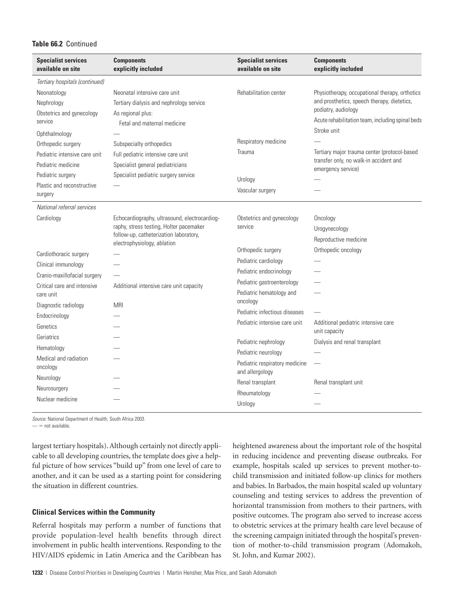## **Table 66.2** Continued

| <b>Specialist services</b><br>available on site                                    | <b>Components</b><br>explicitly included                                                                                                                          | <b>Specialist services</b><br>available on site   | <b>Components</b><br>explicitly included                                                                                                                                                |
|------------------------------------------------------------------------------------|-------------------------------------------------------------------------------------------------------------------------------------------------------------------|---------------------------------------------------|-----------------------------------------------------------------------------------------------------------------------------------------------------------------------------------------|
| Tertiary hospitals (continued)                                                     |                                                                                                                                                                   |                                                   |                                                                                                                                                                                         |
| Neonatology<br>Nephrology<br>Obstetrics and gynecology<br>service<br>Ophthalmology | Neonatal intensive care unit<br>Tertiary dialysis and nephrology service<br>As regional plus:<br>Fetal and maternal medicine                                      | Rehabilitation center                             | Physiotherapy, occupational therapy, orthotics<br>and prosthetics, speech therapy, dietetics,<br>podiatry, audiology<br>Acute rehabilitation team, including spinal beds<br>Stroke unit |
| Orthopedic surgery                                                                 | Subspecialty orthopedics                                                                                                                                          | Respiratory medicine                              |                                                                                                                                                                                         |
| Pediatric intensive care unit<br>Pediatric medicine                                | Full pediatric intensive care unit<br>Specialist general pediatricians                                                                                            | Trauma                                            | Tertiary major trauma center (protocol-based<br>transfer only, no walk-in accident and<br>emergency service)                                                                            |
| Pediatric surgery<br>Plastic and reconstructive                                    | Specialist pediatric surgery service                                                                                                                              | Urology                                           |                                                                                                                                                                                         |
| surgery                                                                            |                                                                                                                                                                   | Vascular surgery                                  |                                                                                                                                                                                         |
| National referral services                                                         |                                                                                                                                                                   |                                                   |                                                                                                                                                                                         |
| Cardiology                                                                         | Echocardiography, ultrasound, electrocardiog-<br>raphy, stress testing, Holter pacemaker<br>follow-up, catheterization laboratory,<br>electrophysiology, ablation | Obstetrics and gynecology<br>service              | Oncology<br>Urogynecology<br>Reproductive medicine                                                                                                                                      |
| Cardiothoracic surgery                                                             |                                                                                                                                                                   | Orthopedic surgery                                | Orthopedic oncology                                                                                                                                                                     |
| Clinical immunology                                                                |                                                                                                                                                                   | Pediatric cardiology                              |                                                                                                                                                                                         |
| Cranio-maxillofacial surgery                                                       |                                                                                                                                                                   | Pediatric endocrinology                           |                                                                                                                                                                                         |
| Critical care and intensive                                                        | Additional intensive care unit capacity                                                                                                                           | Pediatric gastroenterology                        |                                                                                                                                                                                         |
| care unit                                                                          |                                                                                                                                                                   | Pediatric hematology and<br>oncology              |                                                                                                                                                                                         |
| Diagnostic radiology                                                               | <b>MRI</b>                                                                                                                                                        | Pediatric infectious diseases                     |                                                                                                                                                                                         |
| Endocrinology<br>Genetics                                                          |                                                                                                                                                                   | Pediatric intensive care unit                     | Additional pediatric intensive care<br>unit capacity                                                                                                                                    |
| Geriatrics                                                                         |                                                                                                                                                                   | Pediatric nephrology                              | Dialysis and renal transplant                                                                                                                                                           |
| Hematology                                                                         |                                                                                                                                                                   | Pediatric neurology                               |                                                                                                                                                                                         |
| Medical and radiation<br>oncology                                                  |                                                                                                                                                                   | Pediatric respiratory medicine<br>and allergology | $\qquad \qquad =$                                                                                                                                                                       |
| Neurology                                                                          |                                                                                                                                                                   | Renal transplant                                  | Renal transplant unit                                                                                                                                                                   |
| Neurosurgery                                                                       |                                                                                                                                                                   | Rheumatology                                      |                                                                                                                                                                                         |
| Nuclear medicine                                                                   |                                                                                                                                                                   | Urology                                           |                                                                                                                                                                                         |

*Source:* National Department of Health, South Africa 2003.

 $-$  = not available.

largest tertiary hospitals). Although certainly not directly applicable to all developing countries, the template does give a helpful picture of how services "build up" from one level of care to another, and it can be used as a starting point for considering the situation in different countries.

## **Clinical Services within the Community**

Referral hospitals may perform a number of functions that provide population-level health benefits through direct involvement in public health interventions. Responding to the HIV/AIDS epidemic in Latin America and the Caribbean has heightened awareness about the important role of the hospital in reducing incidence and preventing disease outbreaks. For example, hospitals scaled up services to prevent mother-tochild transmission and initiated follow-up clinics for mothers and babies. In Barbados, the main hospital scaled up voluntary counseling and testing services to address the prevention of horizontal transmission from mothers to their partners, with positive outcomes. The program also served to increase access to obstetric services at the primary health care level because of the screening campaign initiated through the hospital's prevention of mother-to-child transmission program (Adomakoh, St. John, and Kumar 2002).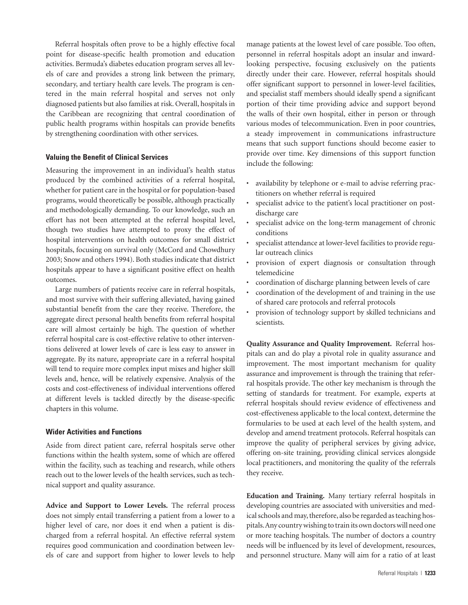Referral hospitals often prove to be a highly effective focal point for disease-specific health promotion and education activities. Bermuda's diabetes education program serves all levels of care and provides a strong link between the primary, secondary, and tertiary health care levels. The program is centered in the main referral hospital and serves not only diagnosed patients but also families at risk. Overall, hospitals in the Caribbean are recognizing that central coordination of public health programs within hospitals can provide benefits by strengthening coordination with other services.

## **Valuing the Benefit of Clinical Services**

Measuring the improvement in an individual's health status produced by the combined activities of a referral hospital, whether for patient care in the hospital or for population-based programs, would theoretically be possible, although practically and methodologically demanding. To our knowledge, such an effort has not been attempted at the referral hospital level, though two studies have attempted to proxy the effect of hospital interventions on health outcomes for small district hospitals, focusing on survival only (McCord and Chowdhury 2003; Snow and others 1994). Both studies indicate that district hospitals appear to have a significant positive effect on health outcomes.

Large numbers of patients receive care in referral hospitals, and most survive with their suffering alleviated, having gained substantial benefit from the care they receive. Therefore, the aggregate direct personal health benefits from referral hospital care will almost certainly be high. The question of whether referral hospital care is cost-effective relative to other interventions delivered at lower levels of care is less easy to answer in aggregate. By its nature, appropriate care in a referral hospital will tend to require more complex input mixes and higher skill levels and, hence, will be relatively expensive. Analysis of the costs and cost-effectiveness of individual interventions offered at different levels is tackled directly by the disease-specific chapters in this volume.

## **Wider Activities and Functions**

Aside from direct patient care, referral hospitals serve other functions within the health system, some of which are offered within the facility, such as teaching and research, while others reach out to the lower levels of the health services, such as technical support and quality assurance.

**Advice and Support to Lower Levels.** The referral process does not simply entail transferring a patient from a lower to a higher level of care, nor does it end when a patient is discharged from a referral hospital. An effective referral system requires good communication and coordination between levels of care and support from higher to lower levels to help

manage patients at the lowest level of care possible. Too often, personnel in referral hospitals adopt an insular and inwardlooking perspective, focusing exclusively on the patients directly under their care. However, referral hospitals should offer significant support to personnel in lower-level facilities, and specialist staff members should ideally spend a significant portion of their time providing advice and support beyond the walls of their own hospital, either in person or through various modes of telecommunication. Even in poor countries, a steady improvement in communications infrastructure means that such support functions should become easier to provide over time. Key dimensions of this support function include the following:

- availability by telephone or e-mail to advise referring practitioners on whether referral is required
- specialist advice to the patient's local practitioner on postdischarge care
- specialist advice on the long-term management of chronic conditions
- specialist attendance at lower-level facilities to provide regular outreach clinics
- provision of expert diagnosis or consultation through telemedicine
- coordination of discharge planning between levels of care
- coordination of the development of and training in the use of shared care protocols and referral protocols
- provision of technology support by skilled technicians and scientists.

**Quality Assurance and Quality Improvement.** Referral hospitals can and do play a pivotal role in quality assurance and improvement. The most important mechanism for quality assurance and improvement is through the training that referral hospitals provide. The other key mechanism is through the setting of standards for treatment. For example, experts at referral hospitals should review evidence of effectiveness and cost-effectiveness applicable to the local context, determine the formularies to be used at each level of the health system, and develop and amend treatment protocols. Referral hospitals can improve the quality of peripheral services by giving advice, offering on-site training, providing clinical services alongside local practitioners, and monitoring the quality of the referrals they receive.

**Education and Training.** Many tertiary referral hospitals in developing countries are associated with universities and medical schools and may, therefore, also be regarded as teaching hospitals.Any country wishing to train its own doctors will need one or more teaching hospitals. The number of doctors a country needs will be influenced by its level of development, resources, and personnel structure. Many will aim for a ratio of at least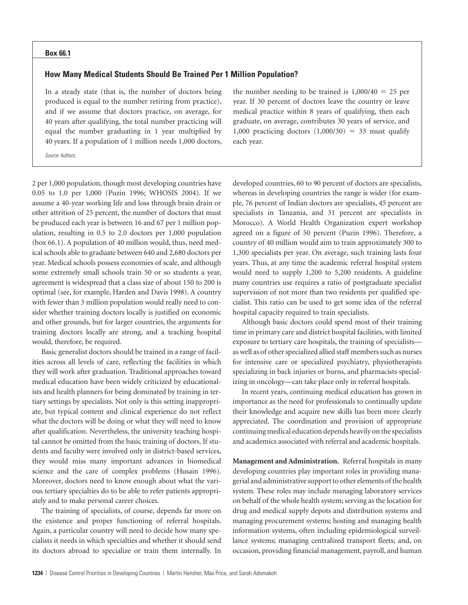#### **Box 66.1**

## **How Many Medical Students Should Be Trained Per 1 Million Population?**

In a steady state (that is, the number of doctors being produced is equal to the number retiring from practice), and if we assume that doctors practice, on average, for 40 years after qualifying, the total number practicing will equal the number graduating in 1 year multiplied by 40 years. If a population of 1 million needs 1,000 doctors,

*Source:* Authors.

2 per 1,000 population, though most developing countries have 0.05 to 1.0 per 1,000 (Puzin 1996; WHOSIS 2004). If we assume a 40-year working life and loss through brain drain or other attrition of 25 percent, the number of doctors that must be produced each year is between 16 and 67 per 1 million population, resulting in 0.5 to 2.0 doctors per 1,000 population (box 66.1). A population of 40 million would, thus, need medical schools able to graduate between 640 and 2,680 doctors per year. Medical schools possess economies of scale, and although some extremely small schools train 50 or so students a year, agreement is widespread that a class size of about 150 to 200 is optimal (see, for example, Harden and Davis 1998). A country with fewer than 3 million population would really need to consider whether training doctors locally is justified on economic and other grounds, but for larger countries, the arguments for training doctors locally are strong, and a teaching hospital would, therefore, be required.

Basic generalist doctors should be trained in a range of facilities across all levels of care, reflecting the facilities in which they will work after graduation. Traditional approaches toward medical education have been widely criticized by educationalists and health planners for being dominated by training in tertiary settings by specialists. Not only is this setting inappropriate, but typical content and clinical experience do not reflect what the doctors will be doing or what they will need to know after qualification. Nevertheless, the university teaching hospital cannot be omitted from the basic training of doctors. If students and faculty were involved only in district-based services, they would miss many important advances in biomedical science and the care of complex problems (Husain 1996). Moreover, doctors need to know enough about what the various tertiary specialties do to be able to refer patients appropriately and to make personal career choices.

The training of specialists, of course, depends far more on the existence and proper functioning of referral hospitals. Again, a particular country will need to decide how many specialists it needs in which specialties and whether it should send its doctors abroad to specialize or train them internally. In the number needing to be trained is  $1,000/40 = 25$  per year. If 30 percent of doctors leave the country or leave medical practice within 8 years of qualifying, then each graduate, on average, contributes 30 years of service, and 1,000 practicing doctors  $(1,000/30) = 33$  must qualify each year.

developed countries, 60 to 90 percent of doctors are specialists, whereas in developing countries the range is wider (for example, 76 percent of Indian doctors are specialists, 45 percent are specialists in Tanzania, and 31 percent are specialists in Morocco). A World Health Organization expert workshop agreed on a figure of 50 percent (Puzin 1996). Therefore, a country of 40 million would aim to train approximately 300 to 1,300 specialists per year. On average, such training lasts four years. Thus, at any time the academic referral hospital system would need to supply 1,200 to 5,200 residents. A guideline many countries use requires a ratio of postgraduate specialist supervision of not more than two residents per qualified specialist. This ratio can be used to get some idea of the referral hospital capacity required to train specialists.

Although basic doctors could spend most of their training time in primary care and district hospital facilities, with limited exposure to tertiary care hospitals, the training of specialists as well as of other specialized allied staff members such as nurses for intensive care or specialized psychiatry, physiotherapists specializing in back injuries or burns, and pharmacists specializing in oncology—can take place only in referral hospitals.

In recent years, continuing medical education has grown in importance as the need for professionals to continually update their knowledge and acquire new skills has been more clearly appreciated. The coordination and provision of appropriate continuing medical education depends heavily on the specialists and academics associated with referral and academic hospitals.

**Management and Administration.** Referral hospitals in many developing countries play important roles in providing managerial and administrative support to other elements of the health system. These roles may include managing laboratory services on behalf of the whole health system; serving as the location for drug and medical supply depots and distribution systems and managing procurement systems; hosting and managing health information systems, often including epidemiological surveillance systems; managing centralized transport fleets; and, on occasion, providing financial management, payroll, and human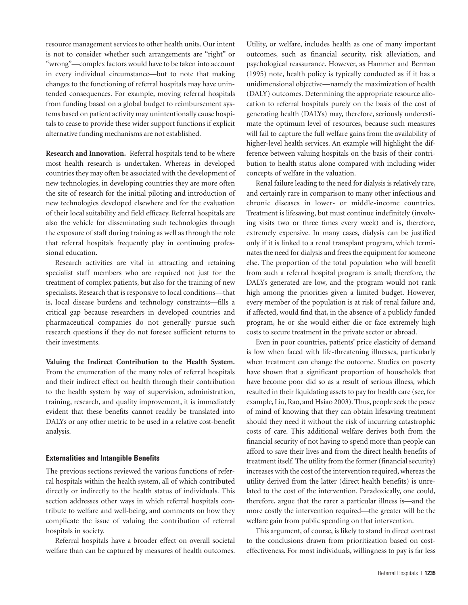resource management services to other health units. Our intent is not to consider whether such arrangements are "right" or "wrong"—complex factors would have to be taken into account in every individual circumstance—but to note that making changes to the functioning of referral hospitals may have unintended consequences. For example, moving referral hospitals from funding based on a global budget to reimbursement systems based on patient activity may unintentionally cause hospitals to cease to provide these wider support functions if explicit alternative funding mechanisms are not established.

**Research and Innovation.** Referral hospitals tend to be where most health research is undertaken. Whereas in developed countries they may often be associated with the development of new technologies, in developing countries they are more often the site of research for the initial piloting and introduction of new technologies developed elsewhere and for the evaluation of their local suitability and field efficacy. Referral hospitals are also the vehicle for disseminating such technologies through the exposure of staff during training as well as through the role that referral hospitals frequently play in continuing professional education.

Research activities are vital in attracting and retaining specialist staff members who are required not just for the treatment of complex patients, but also for the training of new specialists. Research that is responsive to local conditions—that is, local disease burdens and technology constraints—fills a critical gap because researchers in developed countries and pharmaceutical companies do not generally pursue such research questions if they do not foresee sufficient returns to their investments.

**Valuing the Indirect Contribution to the Health System.** From the enumeration of the many roles of referral hospitals and their indirect effect on health through their contribution to the health system by way of supervision, administration, training, research, and quality improvement, it is immediately evident that these benefits cannot readily be translated into DALYs or any other metric to be used in a relative cost-benefit analysis.

## **Externalities and Intangible Benefits**

The previous sections reviewed the various functions of referral hospitals within the health system, all of which contributed directly or indirectly to the health status of individuals. This section addresses other ways in which referral hospitals contribute to welfare and well-being, and comments on how they complicate the issue of valuing the contribution of referral hospitals in society.

Referral hospitals have a broader effect on overall societal welfare than can be captured by measures of health outcomes. Utility, or welfare, includes health as one of many important outcomes, such as financial security, risk alleviation, and psychological reassurance. However, as Hammer and Berman (1995) note, health policy is typically conducted as if it has a unidimensional objective—namely the maximization of health (DALY) outcomes. Determining the appropriate resource allocation to referral hospitals purely on the basis of the cost of generating health (DALYs) may, therefore, seriously underestimate the optimum level of resources, because such measures will fail to capture the full welfare gains from the availability of higher-level health services. An example will highlight the difference between valuing hospitals on the basis of their contribution to health status alone compared with including wider concepts of welfare in the valuation.

Renal failure leading to the need for dialysis is relatively rare, and certainly rare in comparison to many other infectious and chronic diseases in lower- or middle-income countries. Treatment is lifesaving, but must continue indefinitely (involving visits two or three times every week) and is, therefore, extremely expensive. In many cases, dialysis can be justified only if it is linked to a renal transplant program, which terminates the need for dialysis and frees the equipment for someone else. The proportion of the total population who will benefit from such a referral hospital program is small; therefore, the DALYs generated are low, and the program would not rank high among the priorities given a limited budget. However, every member of the population is at risk of renal failure and, if affected, would find that, in the absence of a publicly funded program, he or she would either die or face extremely high costs to secure treatment in the private sector or abroad.

Even in poor countries, patients' price elasticity of demand is low when faced with life-threatening illnesses, particularly when treatment can change the outcome. Studies on poverty have shown that a significant proportion of households that have become poor did so as a result of serious illness, which resulted in their liquidating assets to pay for health care (see, for example, Liu, Rao, and Hsiao 2003). Thus, people seek the peace of mind of knowing that they can obtain lifesaving treatment should they need it without the risk of incurring catastrophic costs of care. This additional welfare derives both from the financial security of not having to spend more than people can afford to save their lives and from the direct health benefits of treatment itself. The utility from the former (financial security) increases with the cost of the intervention required, whereas the utility derived from the latter (direct health benefits) is unrelated to the cost of the intervention. Paradoxically, one could, therefore, argue that the rarer a particular illness is—and the more costly the intervention required—the greater will be the welfare gain from public spending on that intervention.

This argument, of course, is likely to stand in direct contrast to the conclusions drawn from prioritization based on costeffectiveness. For most individuals, willingness to pay is far less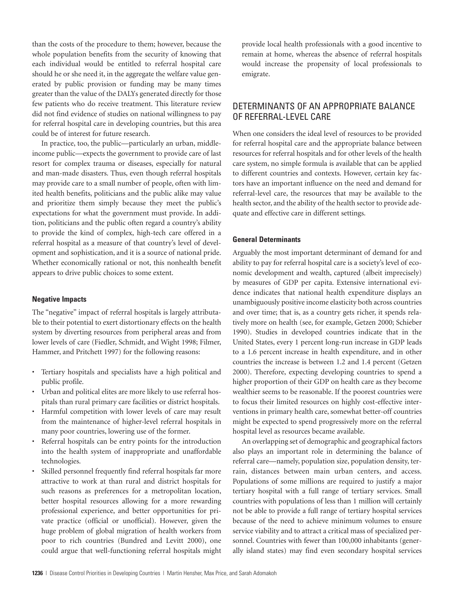than the costs of the procedure to them; however, because the whole population benefits from the security of knowing that each individual would be entitled to referral hospital care should he or she need it, in the aggregate the welfare value generated by public provision or funding may be many times greater than the value of the DALYs generated directly for those few patients who do receive treatment. This literature review did not find evidence of studies on national willingness to pay for referral hospital care in developing countries, but this area could be of interest for future research.

In practice, too, the public—particularly an urban, middleincome public—expects the government to provide care of last resort for complex trauma or diseases, especially for natural and man-made disasters. Thus, even though referral hospitals may provide care to a small number of people, often with limited health benefits, politicians and the public alike may value and prioritize them simply because they meet the public's expectations for what the government must provide. In addition, politicians and the public often regard a country's ability to provide the kind of complex, high-tech care offered in a referral hospital as a measure of that country's level of development and sophistication, and it is a source of national pride. Whether economically rational or not, this nonhealth benefit appears to drive public choices to some extent.

#### **Negative Impacts**

The "negative" impact of referral hospitals is largely attributable to their potential to exert distortionary effects on the health system by diverting resources from peripheral areas and from lower levels of care (Fiedler, Schmidt, and Wight 1998; Filmer, Hammer, and Pritchett 1997) for the following reasons:

- Tertiary hospitals and specialists have a high political and public profile.
- Urban and political elites are more likely to use referral hospitals than rural primary care facilities or district hospitals.
- Harmful competition with lower levels of care may result from the maintenance of higher-level referral hospitals in many poor countries, lowering use of the former.
- Referral hospitals can be entry points for the introduction into the health system of inappropriate and unaffordable technologies.
- Skilled personnel frequently find referral hospitals far more attractive to work at than rural and district hospitals for such reasons as preferences for a metropolitan location, better hospital resources allowing for a more rewarding professional experience, and better opportunities for private practice (official or unofficial). However, given the huge problem of global migration of health workers from poor to rich countries (Bundred and Levitt 2000), one could argue that well-functioning referral hospitals might

provide local health professionals with a good incentive to remain at home, whereas the absence of referral hospitals would increase the propensity of local professionals to emigrate.

# DETERMINANTS OF AN APPROPRIATE BALANCE OF REFERRAL-LEVEL CARE

When one considers the ideal level of resources to be provided for referral hospital care and the appropriate balance between resources for referral hospitals and for other levels of the health care system, no simple formula is available that can be applied to different countries and contexts. However, certain key factors have an important influence on the need and demand for referral-level care, the resources that may be available to the health sector, and the ability of the health sector to provide adequate and effective care in different settings.

## **General Determinants**

Arguably the most important determinant of demand for and ability to pay for referral hospital care is a society's level of economic development and wealth, captured (albeit imprecisely) by measures of GDP per capita. Extensive international evidence indicates that national health expenditure displays an unambiguously positive income elasticity both across countries and over time; that is, as a country gets richer, it spends relatively more on health (see, for example, Getzen 2000; Schieber 1990). Studies in developed countries indicate that in the United States, every 1 percent long-run increase in GDP leads to a 1.6 percent increase in health expenditure, and in other countries the increase is between 1.2 and 1.4 percent (Getzen 2000). Therefore, expecting developing countries to spend a higher proportion of their GDP on health care as they become wealthier seems to be reasonable. If the poorest countries were to focus their limited resources on highly cost-effective interventions in primary health care, somewhat better-off countries might be expected to spend progressively more on the referral hospital level as resources became available.

An overlapping set of demographic and geographical factors also plays an important role in determining the balance of referral care—namely, population size, population density, terrain, distances between main urban centers, and access. Populations of some millions are required to justify a major tertiary hospital with a full range of tertiary services. Small countries with populations of less than 1 million will certainly not be able to provide a full range of tertiary hospital services because of the need to achieve minimum volumes to ensure service viability and to attract a critical mass of specialized personnel. Countries with fewer than 100,000 inhabitants (generally island states) may find even secondary hospital services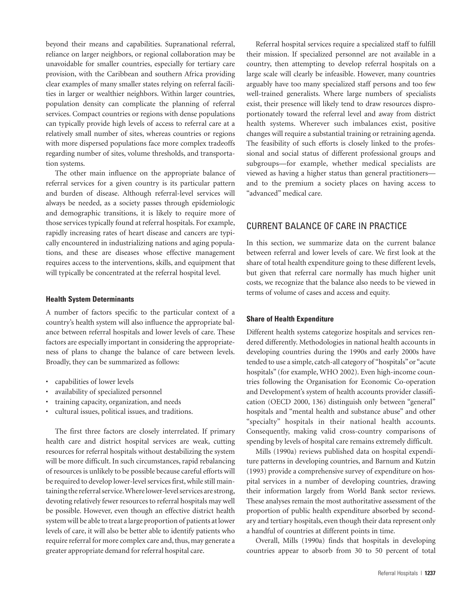beyond their means and capabilities. Supranational referral, reliance on larger neighbors, or regional collaboration may be unavoidable for smaller countries, especially for tertiary care provision, with the Caribbean and southern Africa providing clear examples of many smaller states relying on referral facilities in larger or wealthier neighbors. Within larger countries, population density can complicate the planning of referral services. Compact countries or regions with dense populations can typically provide high levels of access to referral care at a relatively small number of sites, whereas countries or regions with more dispersed populations face more complex tradeoffs regarding number of sites, volume thresholds, and transportation systems.

The other main influence on the appropriate balance of referral services for a given country is its particular pattern and burden of disease. Although referral-level services will always be needed, as a society passes through epidemiologic and demographic transitions, it is likely to require more of those services typically found at referral hospitals. For example, rapidly increasing rates of heart disease and cancers are typically encountered in industrializing nations and aging populations, and these are diseases whose effective management requires access to the interventions, skills, and equipment that will typically be concentrated at the referral hospital level.

#### **Health System Determinants**

A number of factors specific to the particular context of a country's health system will also influence the appropriate balance between referral hospitals and lower levels of care. These factors are especially important in considering the appropriateness of plans to change the balance of care between levels. Broadly, they can be summarized as follows:

- capabilities of lower levels
- availability of specialized personnel
- training capacity, organization, and needs
- cultural issues, political issues, and traditions.

The first three factors are closely interrelated. If primary health care and district hospital services are weak, cutting resources for referral hospitals without destabilizing the system will be more difficult. In such circumstances, rapid rebalancing of resources is unlikely to be possible because careful efforts will be required to develop lower-level services first, while still maintaining the referral service.Where lower-level services are strong, devoting relatively fewer resources to referral hospitals may well be possible. However, even though an effective district health system will be able to treat a large proportion of patients at lower levels of care, it will also be better able to identify patients who require referral for more complex care and, thus, may generate a greater appropriate demand for referral hospital care.

Referral hospital services require a specialized staff to fulfill their mission. If specialized personnel are not available in a country, then attempting to develop referral hospitals on a large scale will clearly be infeasible. However, many countries arguably have too many specialized staff persons and too few well-trained generalists. Where large numbers of specialists exist, their presence will likely tend to draw resources disproportionately toward the referral level and away from district health systems. Wherever such imbalances exist, positive changes will require a substantial training or retraining agenda. The feasibility of such efforts is closely linked to the professional and social status of different professional groups and subgroups—for example, whether medical specialists are viewed as having a higher status than general practitioners and to the premium a society places on having access to "advanced" medical care.

## CURRENT BALANCE OF CARE IN PRACTICE

In this section, we summarize data on the current balance between referral and lower levels of care. We first look at the share of total health expenditure going to these different levels, but given that referral care normally has much higher unit costs, we recognize that the balance also needs to be viewed in terms of volume of cases and access and equity.

## **Share of Health Expenditure**

Different health systems categorize hospitals and services rendered differently. Methodologies in national health accounts in developing countries during the 1990s and early 2000s have tended to use a simple, catch-all category of "hospitals" or "acute hospitals" (for example, WHO 2002). Even high-income countries following the Organisation for Economic Co-operation and Development's system of health accounts provider classification (OECD 2000, 136) distinguish only between "general" hospitals and "mental health and substance abuse" and other "specialty" hospitals in their national health accounts. Consequently, making valid cross-country comparisons of spending by levels of hospital care remains extremely difficult.

Mills (1990a) reviews published data on hospital expenditure patterns in developing countries, and Barnum and Kutzin (1993) provide a comprehensive survey of expenditure on hospital services in a number of developing countries, drawing their information largely from World Bank sector reviews. These analyses remain the most authoritative assessment of the proportion of public health expenditure absorbed by secondary and tertiary hospitals, even though their data represent only a handful of countries at different points in time.

Overall, Mills (1990a) finds that hospitals in developing countries appear to absorb from 30 to 50 percent of total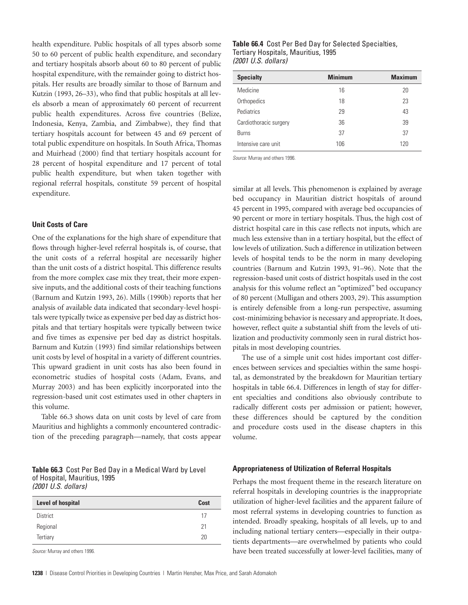health expenditure. Public hospitals of all types absorb some 50 to 60 percent of public health expenditure, and secondary and tertiary hospitals absorb about 60 to 80 percent of public hospital expenditure, with the remainder going to district hospitals. Her results are broadly similar to those of Barnum and Kutzin (1993, 26–33), who find that public hospitals at all levels absorb a mean of approximately 60 percent of recurrent public health expenditures. Across five countries (Belize, Indonesia, Kenya, Zambia, and Zimbabwe), they find that tertiary hospitals account for between 45 and 69 percent of total public expenditure on hospitals. In South Africa, Thomas and Muirhead (2000) find that tertiary hospitals account for 28 percent of hospital expenditure and 17 percent of total public health expenditure, but when taken together with regional referral hospitals, constitute 59 percent of hospital expenditure.

## **Unit Costs of Care**

One of the explanations for the high share of expenditure that flows through higher-level referral hospitals is, of course, that the unit costs of a referral hospital are necessarily higher than the unit costs of a district hospital. This difference results from the more complex case mix they treat, their more expensive inputs, and the additional costs of their teaching functions (Barnum and Kutzin 1993, 26). Mills (1990b) reports that her analysis of available data indicated that secondary-level hospitals were typically twice as expensive per bed day as district hospitals and that tertiary hospitals were typically between twice and five times as expensive per bed day as district hospitals. Barnum and Kutzin (1993) find similar relationships between unit costs by level of hospital in a variety of different countries. This upward gradient in unit costs has also been found in econometric studies of hospital costs (Adam, Evans, and Murray 2003) and has been explicitly incorporated into the regression-based unit cost estimates used in other chapters in this volume.

Table 66.3 shows data on unit costs by level of care from Mauritius and highlights a commonly encountered contradiction of the preceding paragraph—namely, that costs appear

**Table 66.3** Cost Per Bed Day in a Medical Ward by Level of Hospital, Mauritius, 1995 *(2001 U.S. dollars)*

| <b>Level of hospital</b> | Cost |
|--------------------------|------|
| District                 | 17   |
| Regional                 | 21   |
| Tertiary                 | 20   |

*Source:* Murray and others 1996.

#### **Table 66.4** Cost Per Bed Day for Selected Specialties, Tertiary Hospitals, Mauritius, 1995 *(2001 U.S. dollars)*

| <b>Specialty</b>       | <b>Minimum</b> | <b>Maximum</b> |
|------------------------|----------------|----------------|
| Medicine               | 16             | 20             |
| Orthopedics            | 18             | 23             |
| Pediatrics             | 29             | 43             |
| Cardiothoracic surgery | 36             | 39             |
| <b>Burns</b>           | 37             | 37             |
| Intensive care unit    | 106            | 120            |

*Source:* Murray and others 1996.

similar at all levels. This phenomenon is explained by average bed occupancy in Mauritian district hospitals of around 45 percent in 1995, compared with average bed occupancies of 90 percent or more in tertiary hospitals. Thus, the high cost of district hospital care in this case reflects not inputs, which are much less extensive than in a tertiary hospital, but the effect of low levels of utilization. Such a difference in utilization between levels of hospital tends to be the norm in many developing countries (Barnum and Kutzin 1993, 91–96). Note that the regression-based unit costs of district hospitals used in the cost analysis for this volume reflect an "optimized" bed occupancy of 80 percent (Mulligan and others 2003, 29). This assumption is entirely defensible from a long-run perspective, assuming cost-minimizing behavior is necessary and appropriate. It does, however, reflect quite a substantial shift from the levels of utilization and productivity commonly seen in rural district hospitals in most developing countries.

The use of a simple unit cost hides important cost differences between services and specialties within the same hospital, as demonstrated by the breakdown for Mauritian tertiary hospitals in table 66.4. Differences in length of stay for different specialties and conditions also obviously contribute to radically different costs per admission or patient; however, these differences should be captured by the condition and procedure costs used in the disease chapters in this volume.

#### **Appropriateness of Utilization of Referral Hospitals**

Perhaps the most frequent theme in the research literature on referral hospitals in developing countries is the inappropriate utilization of higher-level facilities and the apparent failure of most referral systems in developing countries to function as intended. Broadly speaking, hospitals of all levels, up to and including national tertiary centers—especially in their outpatients departments—are overwhelmed by patients who could have been treated successfully at lower-level facilities, many of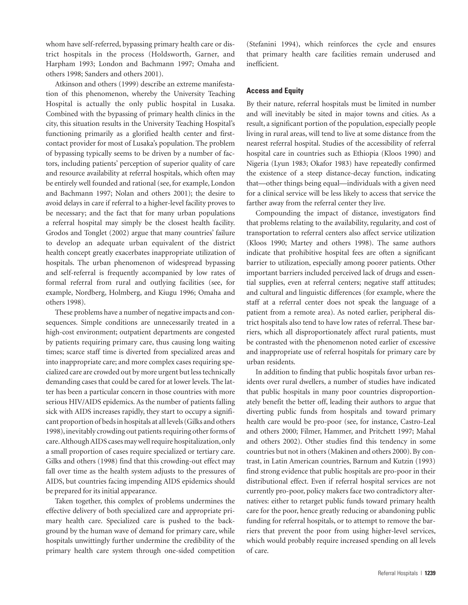whom have self-referred, bypassing primary health care or district hospitals in the process (Holdsworth, Garner, and Harpham 1993; London and Bachmann 1997; Omaha and others 1998; Sanders and others 2001).

Atkinson and others (1999) describe an extreme manifestation of this phenomenon, whereby the University Teaching Hospital is actually the only public hospital in Lusaka. Combined with the bypassing of primary health clinics in the city, this situation results in the University Teaching Hospital's functioning primarily as a glorified health center and firstcontact provider for most of Lusaka's population. The problem of bypassing typically seems to be driven by a number of factors, including patients' perception of superior quality of care and resource availability at referral hospitals, which often may be entirely well founded and rational (see, for example, London and Bachmann 1997; Nolan and others 2001); the desire to avoid delays in care if referral to a higher-level facility proves to be necessary; and the fact that for many urban populations a referral hospital may simply be the closest health facility. Grodos and Tonglet (2002) argue that many countries' failure to develop an adequate urban equivalent of the district health concept greatly exacerbates inappropriate utilization of hospitals. The urban phenomenon of widespread bypassing and self-referral is frequently accompanied by low rates of formal referral from rural and outlying facilities (see, for example, Nordberg, Holmberg, and Kiugu 1996; Omaha and others 1998).

These problems have a number of negative impacts and consequences. Simple conditions are unnecessarily treated in a high-cost environment; outpatient departments are congested by patients requiring primary care, thus causing long waiting times; scarce staff time is diverted from specialized areas and into inappropriate care; and more complex cases requiring specialized care are crowded out by more urgent but less technically demanding cases that could be cared for at lower levels. The latter has been a particular concern in those countries with more serious HIV/AIDS epidemics. As the number of patients falling sick with AIDS increases rapidly, they start to occupy a significant proportion of beds in hospitals at all levels (Gilks and others 1998), inevitably crowding out patients requiring other forms of care.Although AIDS cases may well require hospitalization,only a small proportion of cases require specialized or tertiary care. Gilks and others (1998) find that this crowding-out effect may fall over time as the health system adjusts to the pressures of AIDS, but countries facing impending AIDS epidemics should be prepared for its initial appearance.

Taken together, this complex of problems undermines the effective delivery of both specialized care and appropriate primary health care. Specialized care is pushed to the background by the human wave of demand for primary care, while hospitals unwittingly further undermine the credibility of the primary health care system through one-sided competition (Stefanini 1994), which reinforces the cycle and ensures that primary health care facilities remain underused and inefficient.

## **Access and Equity**

By their nature, referral hospitals must be limited in number and will inevitably be sited in major towns and cities. As a result, a significant portion of the population, especially people living in rural areas, will tend to live at some distance from the nearest referral hospital. Studies of the accessibility of referral hospital care in countries such as Ethiopia (Kloos 1990) and Nigeria (Lyun 1983; Okafor 1983) have repeatedly confirmed the existence of a steep distance-decay function, indicating that—other things being equal—individuals with a given need for a clinical service will be less likely to access that service the farther away from the referral center they live.

Compounding the impact of distance, investigators find that problems relating to the availability, regularity, and cost of transportation to referral centers also affect service utilization (Kloos 1990; Martey and others 1998). The same authors indicate that prohibitive hospital fees are often a significant barrier to utilization, especially among poorer patients. Other important barriers included perceived lack of drugs and essential supplies, even at referral centers; negative staff attitudes; and cultural and linguistic differences (for example, where the staff at a referral center does not speak the language of a patient from a remote area). As noted earlier, peripheral district hospitals also tend to have low rates of referral. These barriers, which all disproportionately affect rural patients, must be contrasted with the phenomenon noted earlier of excessive and inappropriate use of referral hospitals for primary care by urban residents.

In addition to finding that public hospitals favor urban residents over rural dwellers, a number of studies have indicated that public hospitals in many poor countries disproportionately benefit the better off, leading their authors to argue that diverting public funds from hospitals and toward primary health care would be pro-poor (see, for instance, Castro-Leal and others 2000; Filmer, Hammer, and Pritchett 1997; Mahal and others 2002). Other studies find this tendency in some countries but not in others (Makinen and others 2000). By contrast, in Latin American countries, Barnum and Kutzin (1993) find strong evidence that public hospitals are pro-poor in their distributional effect. Even if referral hospital services are not currently pro-poor, policy makers face two contradictory alternatives: either to retarget public funds toward primary health care for the poor, hence greatly reducing or abandoning public funding for referral hospitals, or to attempt to remove the barriers that prevent the poor from using higher-level services, which would probably require increased spending on all levels of care.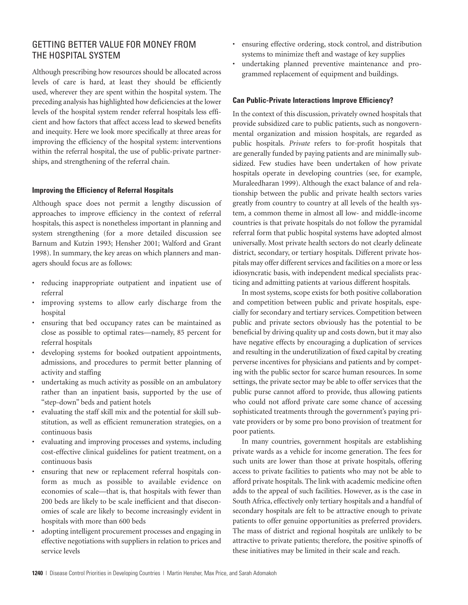## GETTING BETTER VALUE FOR MONEY FROM THE HOSPITAL SYSTEM

Although prescribing how resources should be allocated across levels of care is hard, at least they should be efficiently used, wherever they are spent within the hospital system. The preceding analysis has highlighted how deficiencies at the lower levels of the hospital system render referral hospitals less efficient and how factors that affect access lead to skewed benefits and inequity. Here we look more specifically at three areas for improving the efficiency of the hospital system: interventions within the referral hospital, the use of public-private partnerships, and strengthening of the referral chain.

## **Improving the Efficiency of Referral Hospitals**

Although space does not permit a lengthy discussion of approaches to improve efficiency in the context of referral hospitals, this aspect is nonetheless important in planning and system strengthening (for a more detailed discussion see Barnum and Kutzin 1993; Hensher 2001; Walford and Grant 1998). In summary, the key areas on which planners and managers should focus are as follows:

- reducing inappropriate outpatient and inpatient use of referral
- improving systems to allow early discharge from the hospital
- ensuring that bed occupancy rates can be maintained as close as possible to optimal rates—namely, 85 percent for referral hospitals
- developing systems for booked outpatient appointments, admissions, and procedures to permit better planning of activity and staffing
- undertaking as much activity as possible on an ambulatory rather than an inpatient basis, supported by the use of "step-down" beds and patient hotels
- evaluating the staff skill mix and the potential for skill substitution, as well as efficient remuneration strategies, on a continuous basis
- evaluating and improving processes and systems, including cost-effective clinical guidelines for patient treatment, on a continuous basis
- ensuring that new or replacement referral hospitals conform as much as possible to available evidence on economies of scale—that is, that hospitals with fewer than 200 beds are likely to be scale inefficient and that diseconomies of scale are likely to become increasingly evident in hospitals with more than 600 beds
- adopting intelligent procurement processes and engaging in effective negotiations with suppliers in relation to prices and service levels
- ensuring effective ordering, stock control, and distribution systems to minimize theft and wastage of key supplies
- undertaking planned preventive maintenance and programmed replacement of equipment and buildings.

## **Can Public-Private Interactions Improve Efficiency?**

In the context of this discussion, privately owned hospitals that provide subsidized care to public patients, such as nongovernmental organization and mission hospitals, are regarded as public hospitals. *Private* refers to for-profit hospitals that are generally funded by paying patients and are minimally subsidized. Few studies have been undertaken of how private hospitals operate in developing countries (see, for example, Muraleedharan 1999). Although the exact balance of and relationship between the public and private health sectors varies greatly from country to country at all levels of the health system, a common theme in almost all low- and middle-income countries is that private hospitals do not follow the pyramidal referral form that public hospital systems have adopted almost universally. Most private health sectors do not clearly delineate district, secondary, or tertiary hospitals. Different private hospitals may offer different services and facilities on a more or less idiosyncratic basis, with independent medical specialists practicing and admitting patients at various different hospitals.

In most systems, scope exists for both positive collaboration and competition between public and private hospitals, especially for secondary and tertiary services. Competition between public and private sectors obviously has the potential to be beneficial by driving quality up and costs down, but it may also have negative effects by encouraging a duplication of services and resulting in the underutilization of fixed capital by creating perverse incentives for physicians and patients and by competing with the public sector for scarce human resources. In some settings, the private sector may be able to offer services that the public purse cannot afford to provide, thus allowing patients who could not afford private care some chance of accessing sophisticated treatments through the government's paying private providers or by some pro bono provision of treatment for poor patients.

In many countries, government hospitals are establishing private wards as a vehicle for income generation. The fees for such units are lower than those at private hospitals, offering access to private facilities to patients who may not be able to afford private hospitals. The link with academic medicine often adds to the appeal of such facilities. However, as is the case in South Africa, effectively only tertiary hospitals and a handful of secondary hospitals are felt to be attractive enough to private patients to offer genuine opportunities as preferred providers. The mass of district and regional hospitals are unlikely to be attractive to private patients; therefore, the positive spinoffs of these initiatives may be limited in their scale and reach.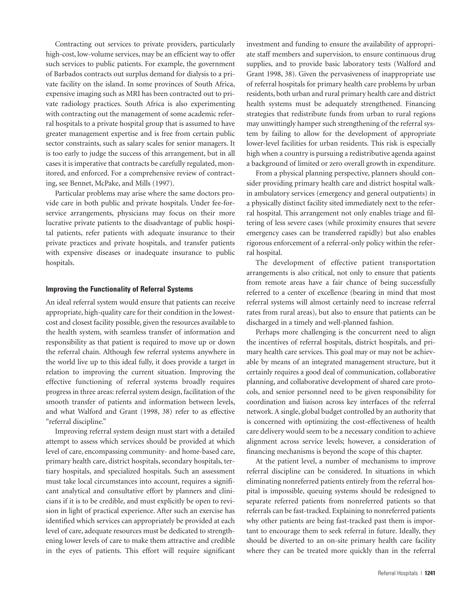Contracting out services to private providers, particularly high-cost, low-volume services, may be an efficient way to offer such services to public patients. For example, the government of Barbados contracts out surplus demand for dialysis to a private facility on the island. In some provinces of South Africa, expensive imaging such as MRI has been contracted out to private radiology practices. South Africa is also experimenting with contracting out the management of some academic referral hospitals to a private hospital group that is assumed to have greater management expertise and is free from certain public sector constraints, such as salary scales for senior managers. It is too early to judge the success of this arrangement, but in all cases it is imperative that contracts be carefully regulated, monitored, and enforced. For a comprehensive review of contracting, see Bennet, McPake, and Mills (1997).

Particular problems may arise where the same doctors provide care in both public and private hospitals. Under fee-forservice arrangements, physicians may focus on their more lucrative private patients to the disadvantage of public hospital patients, refer patients with adequate insurance to their private practices and private hospitals, and transfer patients with expensive diseases or inadequate insurance to public hospitals.

#### **Improving the Functionality of Referral Systems**

An ideal referral system would ensure that patients can receive appropriate, high-quality care for their condition in the lowestcost and closest facility possible, given the resources available to the health system, with seamless transfer of information and responsibility as that patient is required to move up or down the referral chain. Although few referral systems anywhere in the world live up to this ideal fully, it does provide a target in relation to improving the current situation. Improving the effective functioning of referral systems broadly requires progress in three areas: referral system design, facilitation of the smooth transfer of patients and information between levels, and what Walford and Grant (1998, 38) refer to as effective "referral discipline."

Improving referral system design must start with a detailed attempt to assess which services should be provided at which level of care, encompassing community- and home-based care, primary health care, district hospitals, secondary hospitals, tertiary hospitals, and specialized hospitals. Such an assessment must take local circumstances into account, requires a significant analytical and consultative effort by planners and clinicians if it is to be credible, and must explicitly be open to revision in light of practical experience. After such an exercise has identified which services can appropriately be provided at each level of care, adequate resources must be dedicated to strengthening lower levels of care to make them attractive and credible in the eyes of patients. This effort will require significant

investment and funding to ensure the availability of appropriate staff members and supervision, to ensure continuous drug supplies, and to provide basic laboratory tests (Walford and Grant 1998, 38). Given the pervasiveness of inappropriate use of referral hospitals for primary health care problems by urban residents, both urban and rural primary health care and district health systems must be adequately strengthened. Financing strategies that redistribute funds from urban to rural regions may unwittingly hamper such strengthening of the referral system by failing to allow for the development of appropriate lower-level facilities for urban residents. This risk is especially high when a country is pursuing a redistributive agenda against a background of limited or zero overall growth in expenditure.

From a physical planning perspective, planners should consider providing primary health care and district hospital walkin ambulatory services (emergency and general outpatients) in a physically distinct facility sited immediately next to the referral hospital. This arrangement not only enables triage and filtering of less severe cases (while proximity ensures that severe emergency cases can be transferred rapidly) but also enables rigorous enforcement of a referral-only policy within the referral hospital.

The development of effective patient transportation arrangements is also critical, not only to ensure that patients from remote areas have a fair chance of being successfully referred to a center of excellence (bearing in mind that most referral systems will almost certainly need to increase referral rates from rural areas), but also to ensure that patients can be discharged in a timely and well-planned fashion.

Perhaps more challenging is the concurrent need to align the incentives of referral hospitals, district hospitals, and primary health care services. This goal may or may not be achievable by means of an integrated management structure, but it certainly requires a good deal of communication, collaborative planning, and collaborative development of shared care protocols, and senior personnel need to be given responsibility for coordination and liaison across key interfaces of the referral network. A single, global budget controlled by an authority that is concerned with optimizing the cost-effectiveness of health care delivery would seem to be a necessary condition to achieve alignment across service levels; however, a consideration of financing mechanisms is beyond the scope of this chapter.

At the patient level, a number of mechanisms to improve referral discipline can be considered. In situations in which eliminating nonreferred patients entirely from the referral hospital is impossible, queuing systems should be redesigned to separate referred patients from nonreferred patients so that referrals can be fast-tracked. Explaining to nonreferred patients why other patients are being fast-tracked past them is important to encourage them to seek referral in future. Ideally, they should be diverted to an on-site primary health care facility where they can be treated more quickly than in the referral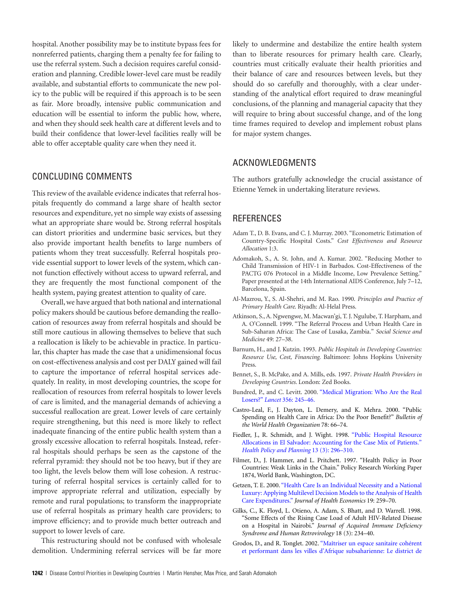hospital. Another possibility may be to institute bypass fees for nonreferred patients, charging them a penalty fee for failing to use the referral system. Such a decision requires careful consideration and planning. Credible lower-level care must be readily available, and substantial efforts to communicate the new policy to the public will be required if this approach is to be seen as fair. More broadly, intensive public communication and education will be essential to inform the public how, where, and when they should seek health care at different levels and to build their confidence that lower-level facilities really will be able to offer acceptable quality care when they need it.

## CONCLUDING COMMENTS

This review of the available evidence indicates that referral hospitals frequently do command a large share of health sector resources and expenditure, yet no simple way exists of assessing what an appropriate share would be. Strong referral hospitals can distort priorities and undermine basic services, but they also provide important health benefits to large numbers of patients whom they treat successfully. Referral hospitals provide essential support to lower levels of the system, which cannot function effectively without access to upward referral, and they are frequently the most functional component of the health system, paying greatest attention to quality of care.

Overall, we have argued that both national and international policy makers should be cautious before demanding the reallocation of resources away from referral hospitals and should be still more cautious in allowing themselves to believe that such a reallocation is likely to be achievable in practice. In particular, this chapter has made the case that a unidimensional focus on cost-effectiveness analysis and cost per DALY gained will fail to capture the importance of referral hospital services adequately. In reality, in most developing countries, the scope for reallocation of resources from referral hospitals to lower levels of care is limited, and the managerial demands of achieving a successful reallocation are great. Lower levels of care certainly require strengthening, but this need is more likely to reflect inadequate financing of the entire public health system than a grossly excessive allocation to referral hospitals. Instead, referral hospitals should perhaps be seen as the capstone of the referral pyramid: they should not be too heavy, but if they are too light, the levels below them will lose cohesion. A restructuring of referral hospital services is certainly called for to improve appropriate referral and utilization, especially by remote and rural populations; to transform the inappropriate use of referral hospitals as primary health care providers; to improve efficiency; and to provide much better outreach and support to lower levels of care.

This restructuring should not be confused with wholesale demolition. Undermining referral services will be far more

likely to undermine and destabilize the entire health system than to liberate resources for primary health care. Clearly, countries must critically evaluate their health priorities and their balance of care and resources between levels, but they should do so carefully and thoroughly, with a clear understanding of the analytical effort required to draw meaningful conclusions, of the planning and managerial capacity that they will require to bring about successful change, and of the long time frames required to develop and implement robust plans for major system changes.

## ACKNOWLEDGMENTS

The authors gratefully acknowledge the crucial assistance of Etienne Yemek in undertaking literature reviews.

## REFERENCES

- Adam T., D. B. Evans, and C. J. Murray. 2003. "Econometric Estimation of Country-Specific Hospital Costs." *Cost Effectiveness and Resource Allocation* 1:3.
- Adomakoh, S., A. St. John, and A. Kumar. 2002. "Reducing Mother to Child Transmission of HIV-1 in Barbados. Cost-Effectiveness of the PACTG 076 Protocol in a Middle Income, Low Prevalence Setting." Paper presented at the 14th International AIDS Conference, July 7–12, Barcelona, Spain.
- Al-Mazrou, Y., S. Al-Shehri, and M. Rao. 1990. *Principles and Practice of Primary Health Care*. Riyadh: Al-Helal Press.
- Atkinson, S., A. Ngwengwe, M. Macwan'gi, T. J. Ngulube, T. Harpham, and A. O'Connell. 1999. "The Referral Process and Urban Health Care in Sub-Saharan Africa: The Case of Lusaka, Zambia*.*" *Social Science and Medicine* 49: 27–38.
- Barnum, H., and J. Kutzin. 1993. *Public Hospitals in Developing Countries: Resource Use, Cost, Financing*. Baltimore: Johns Hopkins University Press.
- Bennet, S., B. McPake, and A. Mills, eds. 1997. *Private Health Providers in Developing Countries*. London: Zed Books.
- Bundred, P., and C. Levitt. 2000. "Medical Migration: Who Are the Real Losers?" *Lancet* 356: 245–46.
- Castro-Leal, F., J. Dayton, L. Demery, and K. Mehra. 2000. "Public Spending on Health Care in Africa: Do the Poor Benefit?" *Bulletin of the World Health Organization* 78: 66–74.
- Fiedler, J., R. Schmidt, and J. Wight. 1998. "Public Hospital Resource Allocations in El Salvador: Accounting for the Case Mix of Patients*.*" *Health Policy and Planning* 13 (3): 296–310.
- Filmer, D., J. Hammer, and L. Pritchett. 1997. "Health Policy in Poor Countries: Weak Links in the Chain." Policy Research Working Paper 1874, World Bank, Washington, DC.
- Getzen, T. E. 2000. "Health Care Is an Individual Necessity and a National Luxury: Applying Multilevel Decision Models to the Analysis of Health Care Expenditures." *Journal of Health Economics* 19: 259–70.
- Gilks, C., K. Floyd, L. Otieno, A. Adam, S. Bhatt, and D. Warrell. 1998. "Some Effects of the Rising Case Load of Adult HIV-Related Disease on a Hospital in Nairobi." *Journal of Acquired Immune Deficiency Syndrome and Human Retrovirology* 18 (3): 234–40.
- Grodos, D., and R. Tonglet. 2002. "Maîtriser un espace sanitaire cohérent et performant dans les villes d'Afrique subsaharienne: Le district de